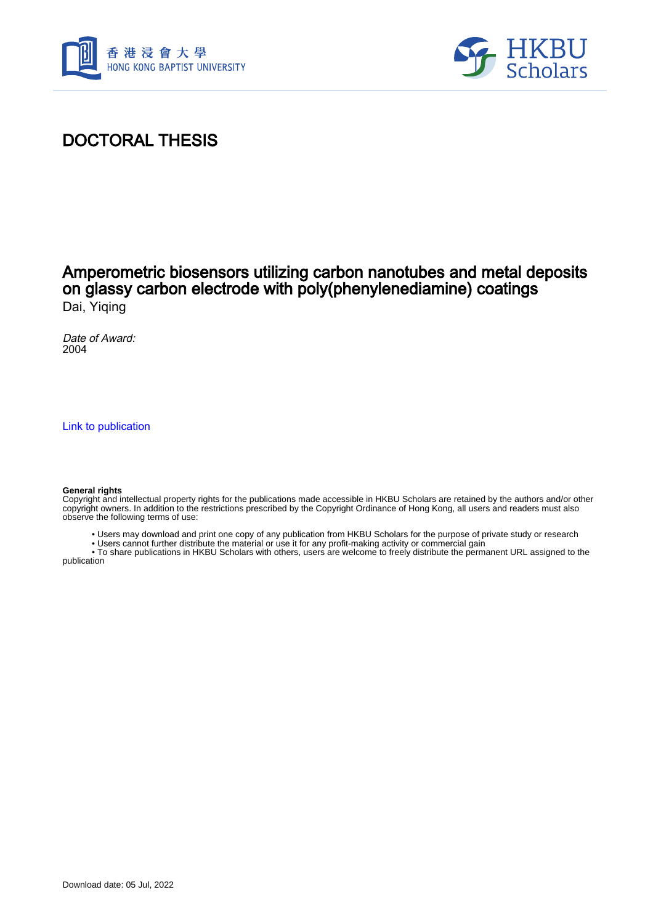



# DOCTORAL THESIS

#### Amperometric biosensors utilizing carbon nanotubes and metal deposits on glassy carbon electrode with poly(phenylenediamine) coatings Dai, Yiqing

Date of Award: 2004

[Link to publication](https://scholars.hkbu.edu.hk/en/studentTheses/3490e117-7ff1-494b-8f0e-0d3dde282767)

#### **General rights**

Copyright and intellectual property rights for the publications made accessible in HKBU Scholars are retained by the authors and/or other copyright owners. In addition to the restrictions prescribed by the Copyright Ordinance of Hong Kong, all users and readers must also observe the following terms of use:

- Users may download and print one copy of any publication from HKBU Scholars for the purpose of private study or research
- Users cannot further distribute the material or use it for any profit-making activity or commercial gain

 • To share publications in HKBU Scholars with others, users are welcome to freely distribute the permanent URL assigned to the publication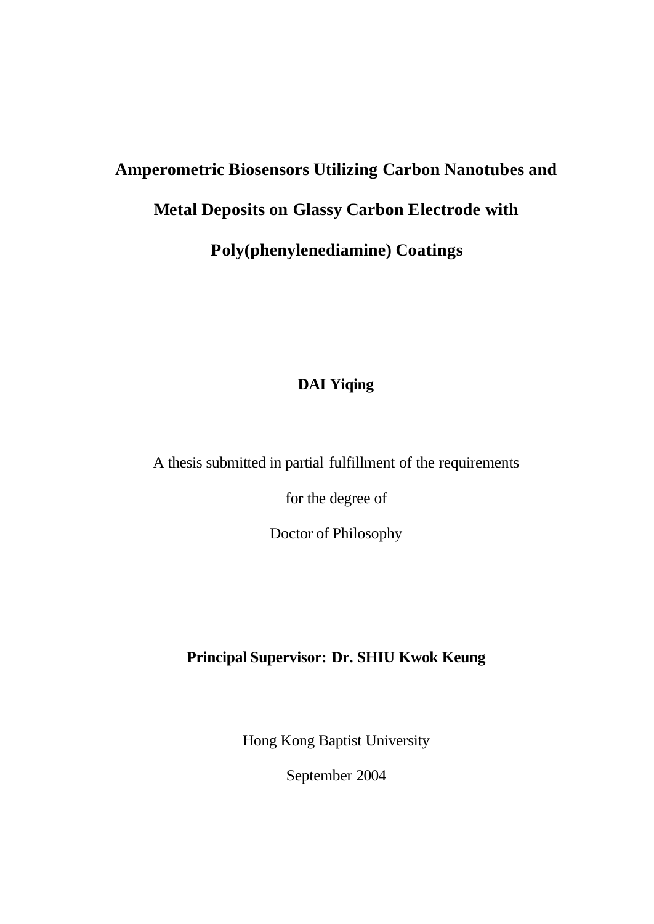# **Amperometric Biosensors Utilizing Carbon Nanotubes and Metal Deposits on Glassy Carbon Electrode with Poly(phenylenediamine) Coatings**

## **DAI Yiqing**

A thesis submitted in partial fulfillment of the requirements

for the degree of

Doctor of Philosophy

#### **Principal Supervisor: Dr. SHIU Kwok Keung**

Hong Kong Baptist University

September 2004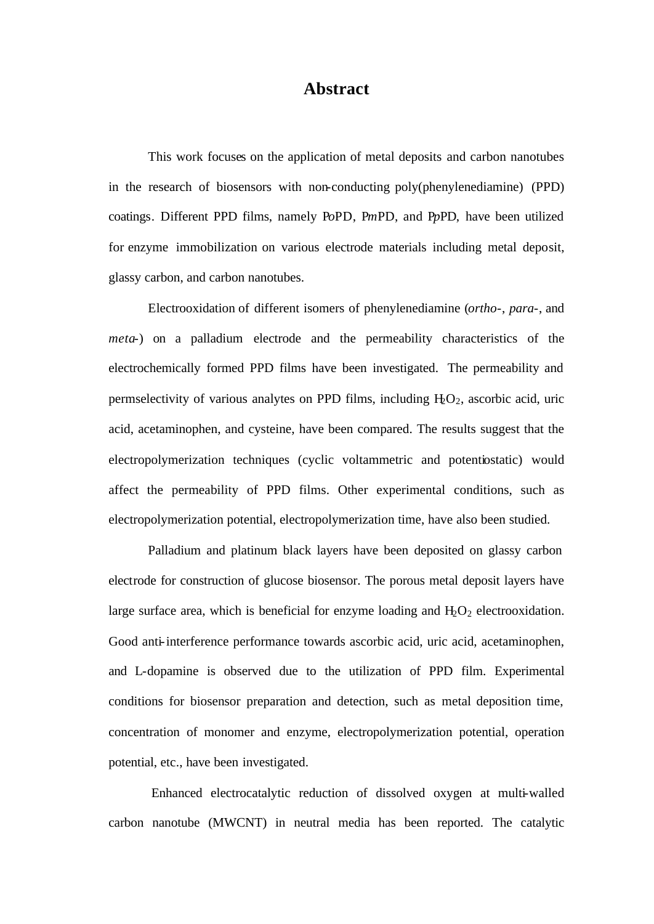#### **Abstract**

This work focuses on the application of metal deposits and carbon nanotubes in the research of biosensors with non-conducting poly(phenylenediamine) (PPD) coatings. Different PPD films, namely P*o*PD, P*m*PD, and P*p*PD, have been utilized for enzyme immobilization on various electrode materials including metal deposit, glassy carbon, and carbon nanotubes.

Electrooxidation of different isomers of phenylenediamine (*ortho*-, *para*-, and *meta*-) on a palladium electrode and the permeability characteristics of the electrochemically formed PPD films have been investigated. The permeability and permselectivity of various analytes on PPD films, including  $H_2O_2$ , ascorbic acid, uric acid, acetaminophen, and cysteine, have been compared. The results suggest that the electropolymerization techniques (cyclic voltammetric and potentiostatic) would affect the permeability of PPD films. Other experimental conditions, such as electropolymerization potential, electropolymerization time, have also been studied.

Palladium and platinum black layers have been deposited on glassy carbon electrode for construction of glucose biosensor. The porous metal deposit layers have large surface area, which is beneficial for enzyme loading and  $H_2O_2$  electrooxidation. Good anti-interference performance towards ascorbic acid, uric acid, acetaminophen, and L-dopamine is observed due to the utilization of PPD film. Experimental conditions for biosensor preparation and detection, such as metal deposition time, concentration of monomer and enzyme, electropolymerization potential, operation potential, etc., have been investigated.

 Enhanced electrocatalytic reduction of dissolved oxygen at multi-walled carbon nanotube (MWCNT) in neutral media has been reported. The catalytic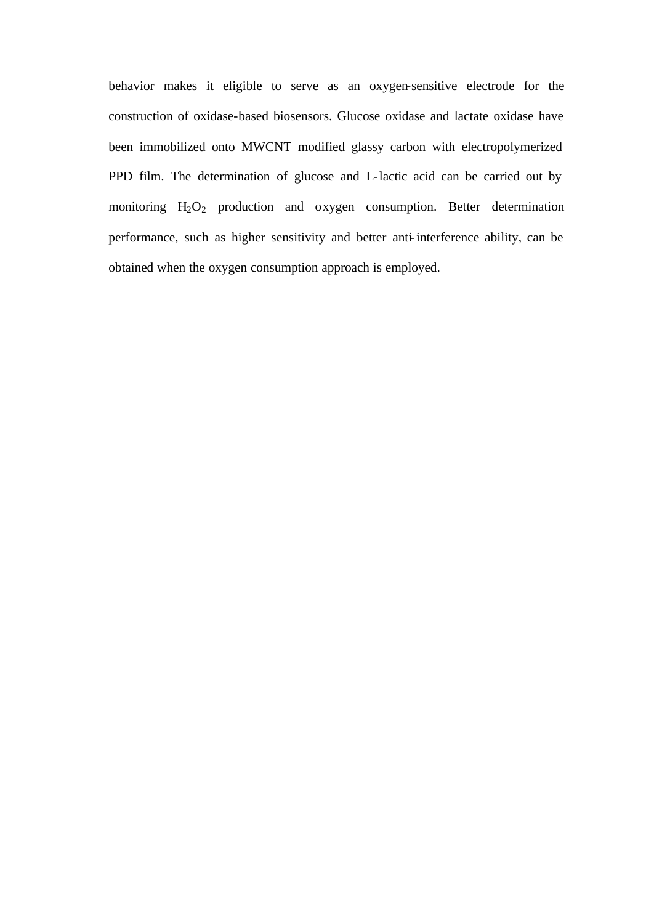behavior makes it eligible to serve as an oxygen-sensitive electrode for the construction of oxidase-based biosensors. Glucose oxidase and lactate oxidase have been immobilized onto MWCNT modified glassy carbon with electropolymerized PPD film. The determination of glucose and L-lactic acid can be carried out by monitoring H<sub>2</sub>O<sub>2</sub> production and oxygen consumption. Better determination performance, such as higher sensitivity and better anti-interference ability, can be obtained when the oxygen consumption approach is employed.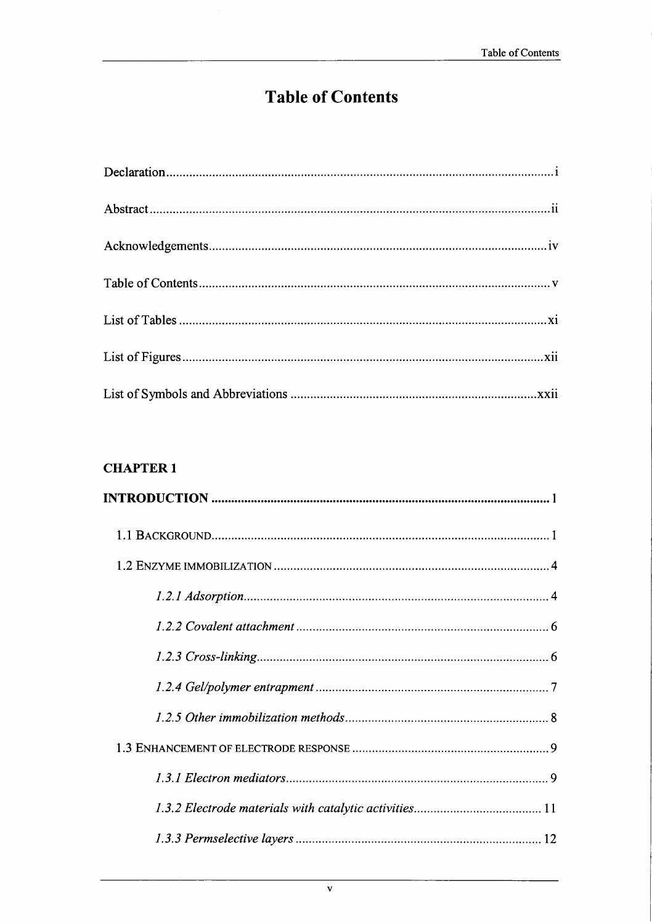# **Table of Contents**

### **CHAPTER 1**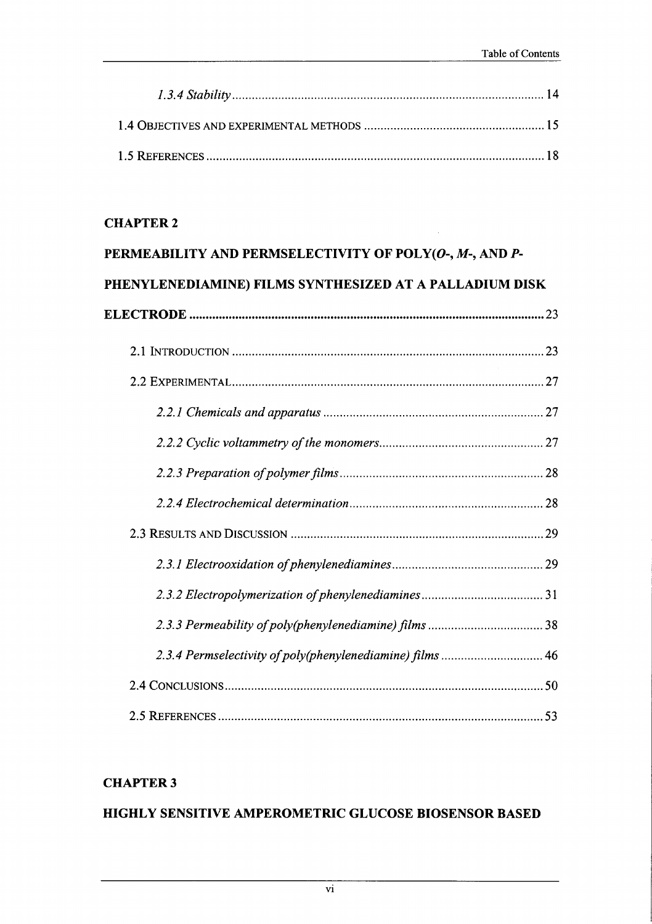$\sim$ 

#### **CHAPTER 2**

| PERMEABILITY AND PERMSELECTIVITY OF POLY(O-, M-, AND P-   |  |
|-----------------------------------------------------------|--|
| PHENYLENEDIAMINE) FILMS SYNTHESIZED AT A PALLADIUM DISK   |  |
|                                                           |  |
|                                                           |  |
|                                                           |  |
|                                                           |  |
|                                                           |  |
|                                                           |  |
|                                                           |  |
|                                                           |  |
|                                                           |  |
|                                                           |  |
|                                                           |  |
| 2.3.4 Permselectivity of poly(phenylenediamine) films  46 |  |
|                                                           |  |
|                                                           |  |

# **CHAPTER 3**

#### HIGHLY SENSITIVE AMPEROMETRIC GLUCOSE BIOSENSOR BASED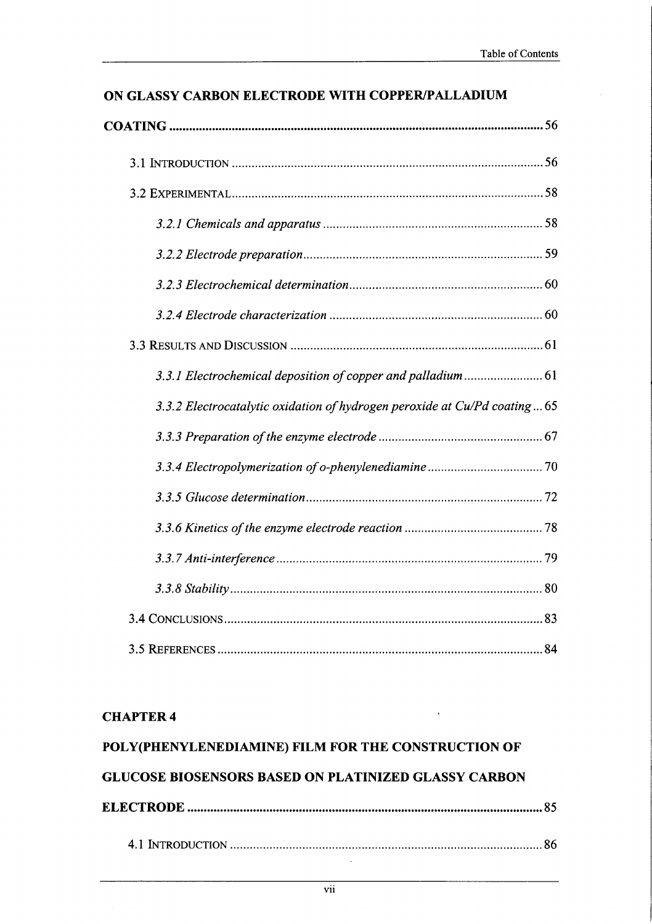$\bar{z}$ 

| ON GLASSY CARBON ELECTRODE WITH COPPER/PALLADIUM |
|--------------------------------------------------|
|--------------------------------------------------|

| 3.3.2 Electrocatalytic oxidation of hydrogen peroxide at Cu/Pd coating65 |
|--------------------------------------------------------------------------|
|                                                                          |
|                                                                          |
|                                                                          |
|                                                                          |
|                                                                          |
|                                                                          |
|                                                                          |
|                                                                          |

#### **CHAPTER 4**

| POLY(PHENYLENEDIAMINE) FILM FOR THE CONSTRUCTION OF         |  |
|-------------------------------------------------------------|--|
| <b>GLUCOSE BIOSENSORS BASED ON PLATINIZED GLASSY CARBON</b> |  |
|                                                             |  |
|                                                             |  |

 $\ddot{\phantom{a}}$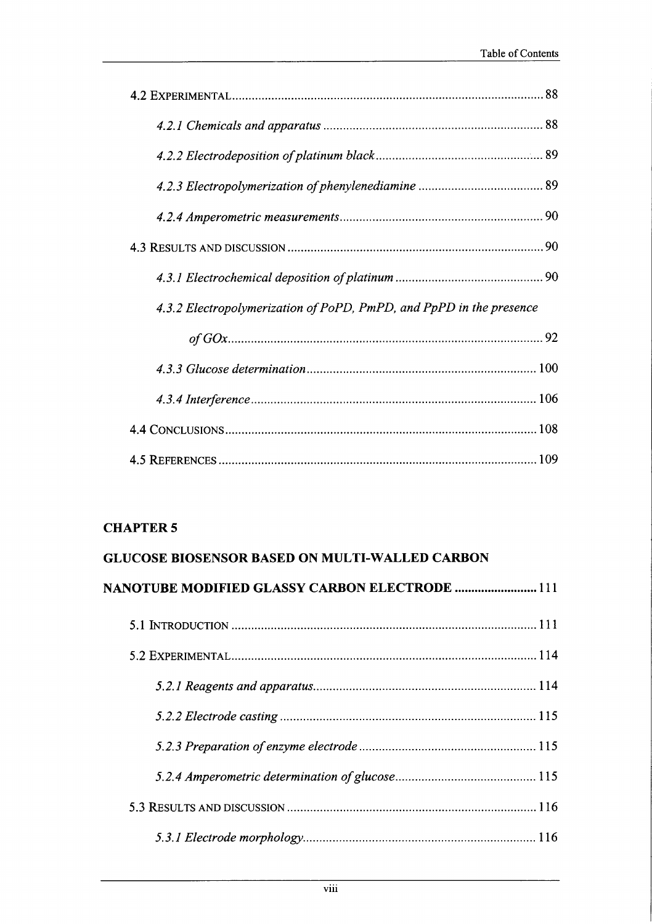| 4.3.2 Electropolymerization of PoPD, PmPD, and PpPD in the presence |  |
|---------------------------------------------------------------------|--|
|                                                                     |  |
|                                                                     |  |
|                                                                     |  |
|                                                                     |  |
|                                                                     |  |

#### **CHAPTER 5**

| <b>GLUCOSE BIOSENSOR BASED ON MULTI-WALLED CARBON</b> |  |
|-------------------------------------------------------|--|
| <b>NANOTUBE MODIFIED GLASSY CARBON ELECTRODE  111</b> |  |
|                                                       |  |
|                                                       |  |
|                                                       |  |
|                                                       |  |
|                                                       |  |
|                                                       |  |
|                                                       |  |
|                                                       |  |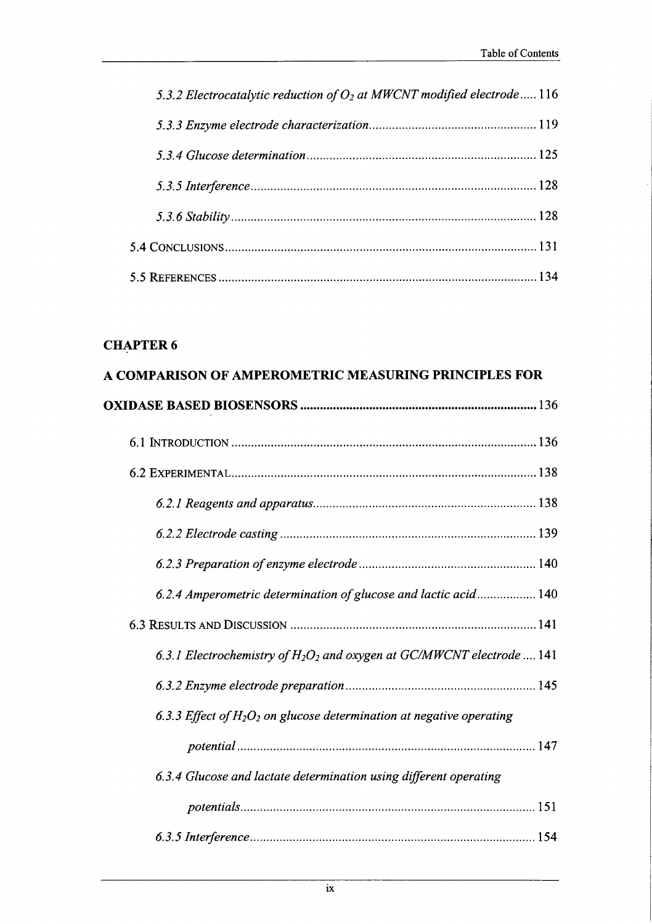| 5.3.2 Electrocatalytic reduction of $O2$ at MWCNT modified electrode 116 |  |
|--------------------------------------------------------------------------|--|
|                                                                          |  |
|                                                                          |  |
|                                                                          |  |
|                                                                          |  |
|                                                                          |  |
|                                                                          |  |

#### **CHAPTER 6**

| A COMPARISON OF AMPEROMETRIC MEASURING PRINCIPLES FOR                    |  |
|--------------------------------------------------------------------------|--|
|                                                                          |  |
|                                                                          |  |
|                                                                          |  |
|                                                                          |  |
|                                                                          |  |
|                                                                          |  |
| 6.2.4 Amperometric determination of glucose and lactic acid 140          |  |
|                                                                          |  |
| 6.3.1 Electrochemistry of $H_2O_2$ and oxygen at GC/MWCNT electrode  141 |  |
|                                                                          |  |
| 6.3.3 Effect of $H_2O_2$ on glucose determination at negative operating  |  |
|                                                                          |  |
| 6.3.4 Glucose and lactate determination using different operating        |  |
|                                                                          |  |
|                                                                          |  |